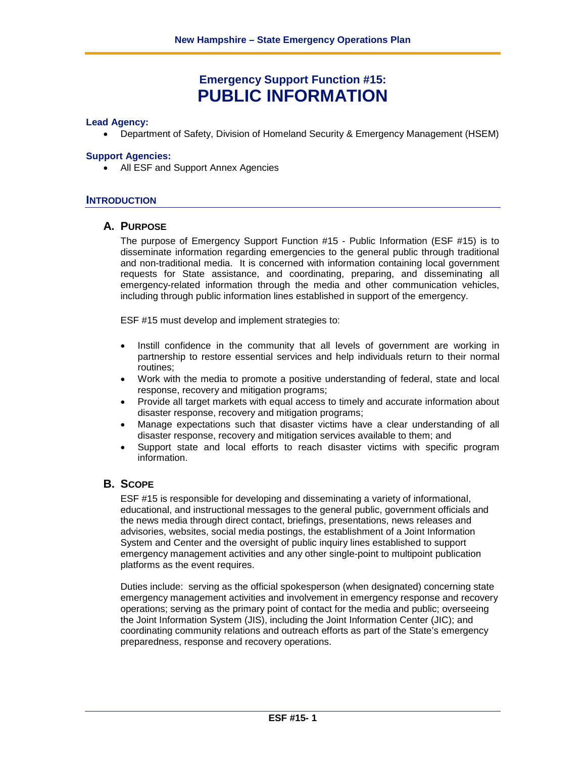# **Emergency Support Function #15: PUBLIC INFORMATION**

#### **Lead Agency:**

• Department of Safety, Division of Homeland Security & Emergency Management (HSEM)

#### **Support Agencies:**

• All ESF and Support Annex Agencies

#### **INTRODUCTION**

#### **A. PURPOSE**

The purpose of Emergency Support Function #15 - Public Information (ESF #15) is to disseminate information regarding emergencies to the general public through traditional and non-traditional media. It is concerned with information containing local government requests for State assistance, and coordinating, preparing, and disseminating all emergency-related information through the media and other communication vehicles, including through public information lines established in support of the emergency.

ESF #15 must develop and implement strategies to:

- Instill confidence in the community that all levels of government are working in partnership to restore essential services and help individuals return to their normal routines;
- Work with the media to promote a positive understanding of federal, state and local response, recovery and mitigation programs;
- Provide all target markets with equal access to timely and accurate information about disaster response, recovery and mitigation programs;
- Manage expectations such that disaster victims have a clear understanding of all disaster response, recovery and mitigation services available to them; and
- Support state and local efforts to reach disaster victims with specific program information.

### **B. SCOPE**

ESF #15 is responsible for developing and disseminating a variety of informational, educational, and instructional messages to the general public, government officials and the news media through direct contact, briefings, presentations, news releases and advisories, websites, social media postings, the establishment of a Joint Information System and Center and the oversight of public inquiry lines established to support emergency management activities and any other single-point to multipoint publication platforms as the event requires.

Duties include: serving as the official spokesperson (when designated) concerning state emergency management activities and involvement in emergency response and recovery operations; serving as the primary point of contact for the media and public; overseeing the Joint Information System (JIS), including the Joint Information Center (JIC); and coordinating community relations and outreach efforts as part of the State's emergency preparedness, response and recovery operations.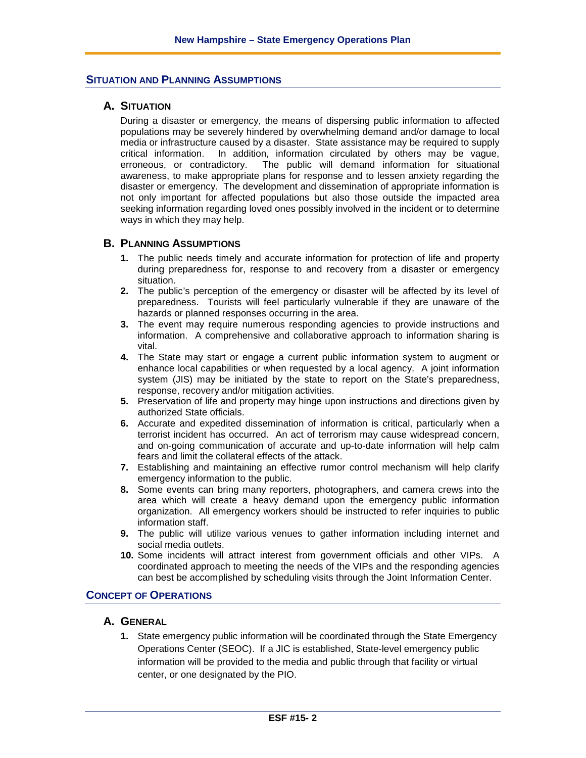### **SITUATION AND PLANNING ASSUMPTIONS**

### **A. SITUATION**

During a disaster or emergency, the means of dispersing public information to affected populations may be severely hindered by overwhelming demand and/or damage to local media or infrastructure caused by a disaster. State assistance may be required to supply critical information. In addition, information circulated by others may be vague, erroneous, or contradictory. The public will demand information for situational awareness, to make appropriate plans for response and to lessen anxiety regarding the disaster or emergency. The development and dissemination of appropriate information is not only important for affected populations but also those outside the impacted area seeking information regarding loved ones possibly involved in the incident or to determine ways in which they may help.

#### **B. PLANNING ASSUMPTIONS**

- **1.** The public needs timely and accurate information for protection of life and property during preparedness for, response to and recovery from a disaster or emergency situation.
- **2.** The public's perception of the emergency or disaster will be affected by its level of preparedness. Tourists will feel particularly vulnerable if they are unaware of the hazards or planned responses occurring in the area.
- **3.** The event may require numerous responding agencies to provide instructions and information. A comprehensive and collaborative approach to information sharing is vital.
- **4.** The State may start or engage a current public information system to augment or enhance local capabilities or when requested by a local agency. A joint information system (JIS) may be initiated by the state to report on the State's preparedness, response, recovery and/or mitigation activities.
- **5.** Preservation of life and property may hinge upon instructions and directions given by authorized State officials.
- **6.** Accurate and expedited dissemination of information is critical, particularly when a terrorist incident has occurred. An act of terrorism may cause widespread concern, and on-going communication of accurate and up-to-date information will help calm fears and limit the collateral effects of the attack.
- **7.** Establishing and maintaining an effective rumor control mechanism will help clarify emergency information to the public.
- **8.** Some events can bring many reporters, photographers, and camera crews into the area which will create a heavy demand upon the emergency public information organization. All emergency workers should be instructed to refer inquiries to public information staff.
- **9.** The public will utilize various venues to gather information including internet and social media outlets.
- **10.** Some incidents will attract interest from government officials and other VIPs. A coordinated approach to meeting the needs of the VIPs and the responding agencies can best be accomplished by scheduling visits through the Joint Information Center.

### **CONCEPT OF OPERATIONS**

### **A. GENERAL**

**1.** State emergency public information will be coordinated through the State Emergency Operations Center (SEOC). If a JIC is established, State-level emergency public information will be provided to the media and public through that facility or virtual center, or one designated by the PIO.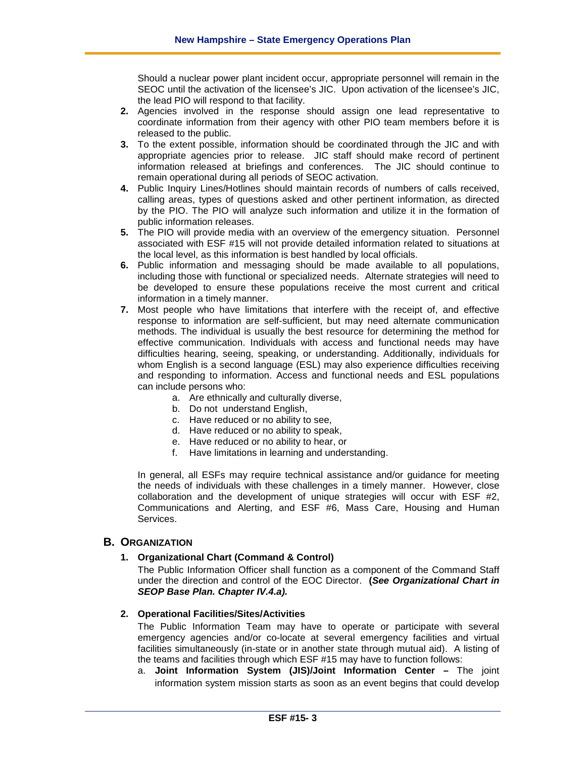Should a nuclear power plant incident occur, appropriate personnel will remain in the SEOC until the activation of the licensee's JIC. Upon activation of the licensee's JIC, the lead PIO will respond to that facility.

- **2.** Agencies involved in the response should assign one lead representative to coordinate information from their agency with other PIO team members before it is released to the public.
- **3.** To the extent possible, information should be coordinated through the JIC and with appropriate agencies prior to release. JIC staff should make record of pertinent information released at briefings and conferences. The JIC should continue to remain operational during all periods of SEOC activation.
- **4.** Public Inquiry Lines/Hotlines should maintain records of numbers of calls received, calling areas, types of questions asked and other pertinent information, as directed by the PIO. The PIO will analyze such information and utilize it in the formation of public information releases.
- **5.** The PIO will provide media with an overview of the emergency situation. Personnel associated with ESF #15 will not provide detailed information related to situations at the local level, as this information is best handled by local officials.
- **6.** Public information and messaging should be made available to all populations, including those with functional or specialized needs. Alternate strategies will need to be developed to ensure these populations receive the most current and critical information in a timely manner.
- **7.** Most people who have limitations that interfere with the receipt of, and effective response to information are self-sufficient, but may need alternate communication methods. The individual is usually the best resource for determining the method for effective communication. Individuals with access and functional needs may have difficulties hearing, seeing, speaking, or understanding. Additionally, individuals for whom English is a second language (ESL) may also experience difficulties receiving and responding to information. Access and functional needs and ESL populations can include persons who:
	- a. Are ethnically and culturally diverse,
	- b. Do not understand English,
	- c. Have reduced or no ability to see,
	- d. Have reduced or no ability to speak,
	- e. Have reduced or no ability to hear, or
	- f. Have limitations in learning and understanding.

In general, all ESFs may require technical assistance and/or guidance for meeting the needs of individuals with these challenges in a timely manner. However, close collaboration and the development of unique strategies will occur with ESF #2, Communications and Alerting, and ESF #6, Mass Care, Housing and Human **Services** 

### **B. ORGANIZATION**

#### **1. Organizational Chart (Command & Control)**

The Public Information Officer shall function as a component of the Command Staff under the direction and control of the EOC Director. **(***See Organizational Chart in SEOP Base Plan. Chapter IV.4.a).*

#### **2. Operational Facilities/Sites/Activities**

The Public Information Team may have to operate or participate with several emergency agencies and/or co-locate at several emergency facilities and virtual facilities simultaneously (in-state or in another state through mutual aid). A listing of the teams and facilities through which ESF #15 may have to function follows:

a. **Joint Information System (JIS)/Joint Information Center –** The joint information system mission starts as soon as an event begins that could develop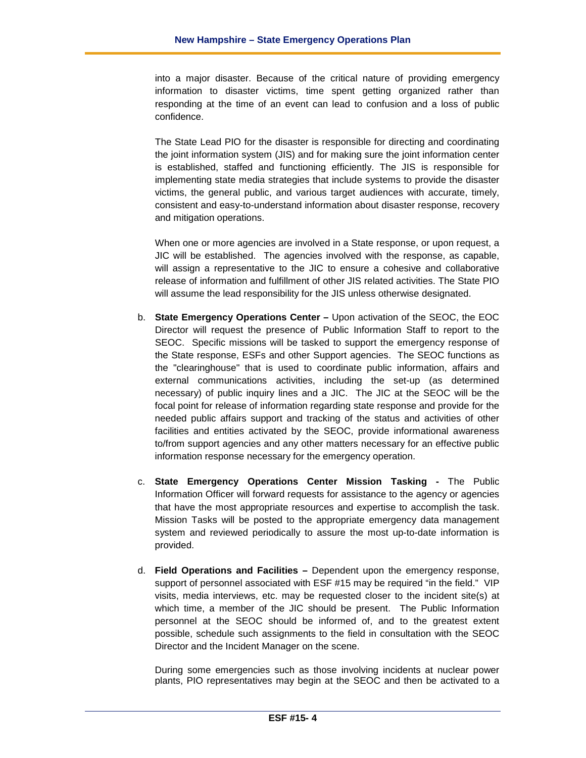into a major disaster. Because of the critical nature of providing emergency information to disaster victims, time spent getting organized rather than responding at the time of an event can lead to confusion and a loss of public confidence.

The State Lead PIO for the disaster is responsible for directing and coordinating the joint information system (JIS) and for making sure the joint information center is established, staffed and functioning efficiently. The JIS is responsible for implementing state media strategies that include systems to provide the disaster victims, the general public, and various target audiences with accurate, timely, consistent and easy-to-understand information about disaster response, recovery and mitigation operations.

When one or more agencies are involved in a State response, or upon request, a JIC will be established. The agencies involved with the response, as capable, will assign a representative to the JIC to ensure a cohesive and collaborative release of information and fulfillment of other JIS related activities. The State PIO will assume the lead responsibility for the JIS unless otherwise designated.

- b. **State Emergency Operations Center –** Upon activation of the SEOC, the EOC Director will request the presence of Public Information Staff to report to the SEOC. Specific missions will be tasked to support the emergency response of the State response, ESFs and other Support agencies. The SEOC functions as the "clearinghouse" that is used to coordinate public information, affairs and external communications activities, including the set-up (as determined necessary) of public inquiry lines and a JIC. The JIC at the SEOC will be the focal point for release of information regarding state response and provide for the needed public affairs support and tracking of the status and activities of other facilities and entities activated by the SEOC, provide informational awareness to/from support agencies and any other matters necessary for an effective public information response necessary for the emergency operation.
- c. **State Emergency Operations Center Mission Tasking -** The Public Information Officer will forward requests for assistance to the agency or agencies that have the most appropriate resources and expertise to accomplish the task. Mission Tasks will be posted to the appropriate emergency data management system and reviewed periodically to assure the most up-to-date information is provided.
- d. **Field Operations and Facilities –** Dependent upon the emergency response, support of personnel associated with ESF #15 may be required "in the field." VIP visits, media interviews, etc. may be requested closer to the incident site(s) at which time, a member of the JIC should be present. The Public Information personnel at the SEOC should be informed of, and to the greatest extent possible, schedule such assignments to the field in consultation with the SEOC Director and the Incident Manager on the scene.

During some emergencies such as those involving incidents at nuclear power plants, PIO representatives may begin at the SEOC and then be activated to a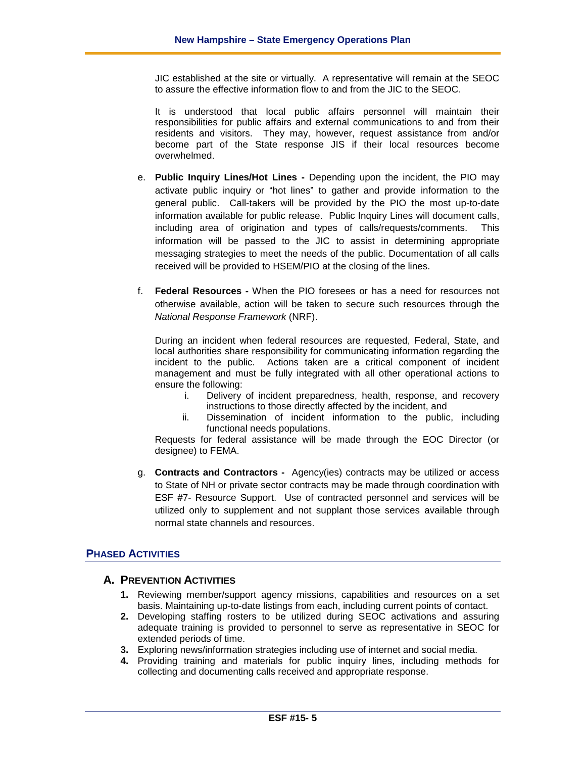JIC established at the site or virtually. A representative will remain at the SEOC to assure the effective information flow to and from the JIC to the SEOC.

It is understood that local public affairs personnel will maintain their responsibilities for public affairs and external communications to and from their residents and visitors. They may, however, request assistance from and/or become part of the State response JIS if their local resources become overwhelmed.

- e. **Public Inquiry Lines/Hot Lines -** Depending upon the incident, the PIO may activate public inquiry or "hot lines" to gather and provide information to the general public. Call-takers will be provided by the PIO the most up-to-date information available for public release. Public Inquiry Lines will document calls, including area of origination and types of calls/requests/comments. This information will be passed to the JIC to assist in determining appropriate messaging strategies to meet the needs of the public. Documentation of all calls received will be provided to HSEM/PIO at the closing of the lines.
- f. **Federal Resources -** When the PIO foresees or has a need for resources not otherwise available, action will be taken to secure such resources through the *National Response Framework* (NRF).

During an incident when federal resources are requested, Federal, State, and local authorities share responsibility for communicating information regarding the incident to the public. Actions taken are a critical component of incident management and must be fully integrated with all other operational actions to ensure the following:

- i. Delivery of incident preparedness, health, response, and recovery instructions to those directly affected by the incident, and
- ii. Dissemination of incident information to the public, including functional needs populations.

Requests for federal assistance will be made through the EOC Director (or designee) to FEMA.

g. **Contracts and Contractors -** Agency(ies) contracts may be utilized or access to State of NH or private sector contracts may be made through coordination with ESF #7- Resource Support. Use of contracted personnel and services will be utilized only to supplement and not supplant those services available through normal state channels and resources.

### **PHASED ACTIVITIES**

### **A. PREVENTION ACTIVITIES**

- **1.** Reviewing member/support agency missions, capabilities and resources on a set basis. Maintaining up-to-date listings from each, including current points of contact.
- **2.** Developing staffing rosters to be utilized during SEOC activations and assuring adequate training is provided to personnel to serve as representative in SEOC for extended periods of time.
- **3.** Exploring news/information strategies including use of internet and social media.
- **4.** Providing training and materials for public inquiry lines, including methods for collecting and documenting calls received and appropriate response.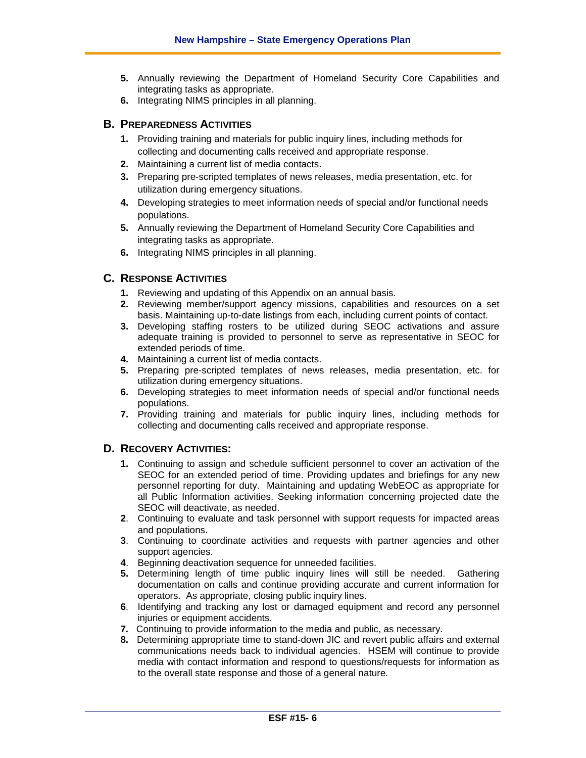- **5.** Annually reviewing the Department of Homeland Security Core Capabilities and integrating tasks as appropriate.
- **6.** Integrating NIMS principles in all planning.

### **B. PREPAREDNESS ACTIVITIES**

- **1.** Providing training and materials for public inquiry lines, including methods for collecting and documenting calls received and appropriate response.
- **2.** Maintaining a current list of media contacts.
- **3.** Preparing pre-scripted templates of news releases, media presentation, etc. for utilization during emergency situations.
- **4.** Developing strategies to meet information needs of special and/or functional needs populations.
- **5.** Annually reviewing the Department of Homeland Security Core Capabilities and integrating tasks as appropriate.
- **6.** Integrating NIMS principles in all planning.

### **C. RESPONSE ACTIVITIES**

- **1.** Reviewing and updating of this Appendix on an annual basis.
- **2.** Reviewing member/support agency missions, capabilities and resources on a set basis. Maintaining up-to-date listings from each, including current points of contact.
- **3.** Developing staffing rosters to be utilized during SEOC activations and assure adequate training is provided to personnel to serve as representative in SEOC for extended periods of time.
- **4.** Maintaining a current list of media contacts.
- **5.** Preparing pre-scripted templates of news releases, media presentation, etc. for utilization during emergency situations.
- **6.** Developing strategies to meet information needs of special and/or functional needs populations.
- **7.** Providing training and materials for public inquiry lines, including methods for collecting and documenting calls received and appropriate response.

### **D. RECOVERY ACTIVITIES:**

- **1.** Continuing to assign and schedule sufficient personnel to cover an activation of the SEOC for an extended period of time. Providing updates and briefings for any new personnel reporting for duty. Maintaining and updating WebEOC as appropriate for all Public Information activities. Seeking information concerning projected date the SEOC will deactivate, as needed.
- **2**. Continuing to evaluate and task personnel with support requests for impacted areas and populations.
- **3**. Continuing to coordinate activities and requests with partner agencies and other support agencies.
- **4**. Beginning deactivation sequence for unneeded facilities.
- **5.** Determining length of time public inquiry lines will still be needed. Gathering documentation on calls and continue providing accurate and current information for operators. As appropriate, closing public inquiry lines.
- **6**. Identifying and tracking any lost or damaged equipment and record any personnel injuries or equipment accidents.
- **7.** Continuing to provide information to the media and public, as necessary.
- **8.** Determining appropriate time to stand-down JIC and revert public affairs and external communications needs back to individual agencies. HSEM will continue to provide media with contact information and respond to questions/requests for information as to the overall state response and those of a general nature.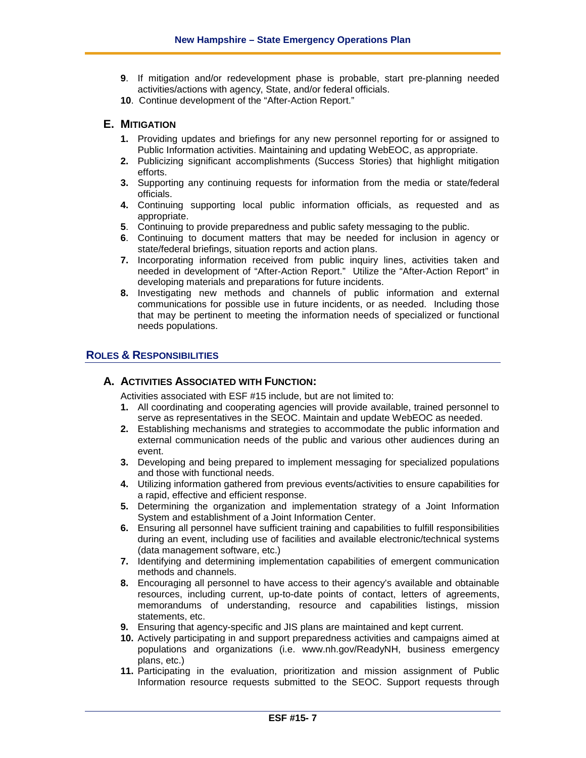- **9**. If mitigation and/or redevelopment phase is probable, start pre-planning needed activities/actions with agency, State, and/or federal officials.
- **10**. Continue development of the "After-Action Report."

### **E. MITIGATION**

- **1.** Providing updates and briefings for any new personnel reporting for or assigned to Public Information activities. Maintaining and updating WebEOC, as appropriate.
- **2.** Publicizing significant accomplishments (Success Stories) that highlight mitigation efforts.
- **3.** Supporting any continuing requests for information from the media or state/federal officials.
- **4.** Continuing supporting local public information officials, as requested and as appropriate.
- **5**. Continuing to provide preparedness and public safety messaging to the public.
- **6**. Continuing to document matters that may be needed for inclusion in agency or state/federal briefings, situation reports and action plans.
- **7.** Incorporating information received from public inquiry lines, activities taken and needed in development of "After-Action Report." Utilize the "After-Action Report" in developing materials and preparations for future incidents.
- **8.** Investigating new methods and channels of public information and external communications for possible use in future incidents, or as needed. Including those that may be pertinent to meeting the information needs of specialized or functional needs populations.

### **ROLES & RESPONSIBILITIES**

### **A. ACTIVITIES ASSOCIATED WITH FUNCTION:**

Activities associated with ESF #15 include, but are not limited to:

- **1.** All coordinating and cooperating agencies will provide available, trained personnel to serve as representatives in the SEOC. Maintain and update WebEOC as needed.
- **2.** Establishing mechanisms and strategies to accommodate the public information and external communication needs of the public and various other audiences during an event.
- **3.** Developing and being prepared to implement messaging for specialized populations and those with functional needs.
- **4.** Utilizing information gathered from previous events/activities to ensure capabilities for a rapid, effective and efficient response.
- **5.** Determining the organization and implementation strategy of a Joint Information System and establishment of a Joint Information Center.
- **6.** Ensuring all personnel have sufficient training and capabilities to fulfill responsibilities during an event, including use of facilities and available electronic/technical systems (data management software, etc.)
- **7.** Identifying and determining implementation capabilities of emergent communication methods and channels.
- **8.** Encouraging all personnel to have access to their agency's available and obtainable resources, including current, up-to-date points of contact, letters of agreements, memorandums of understanding, resource and capabilities listings, mission statements, etc.
- **9.** Ensuring that agency-specific and JIS plans are maintained and kept current.
- **10.** Actively participating in and support preparedness activities and campaigns aimed at populations and organizations (i.e. www.nh.gov/ReadyNH, business emergency plans, etc.)
- **11.** Participating in the evaluation, prioritization and mission assignment of Public Information resource requests submitted to the SEOC. Support requests through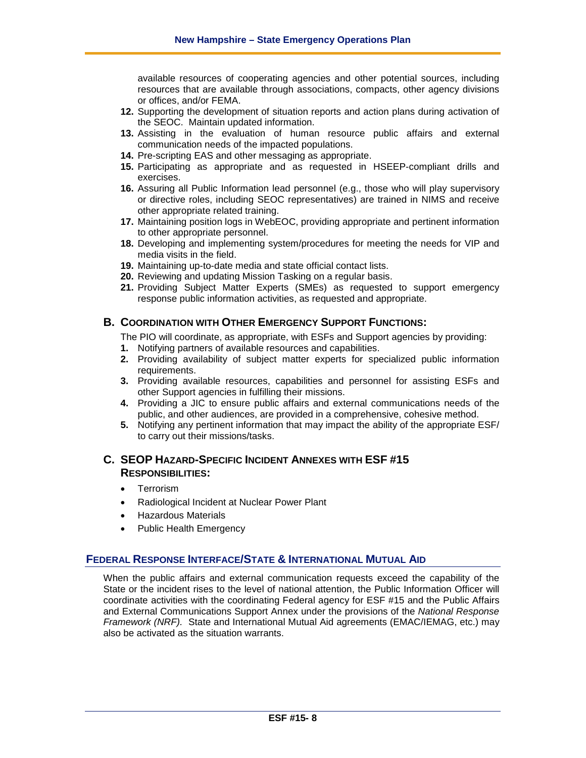available resources of cooperating agencies and other potential sources, including resources that are available through associations, compacts, other agency divisions or offices, and/or FEMA.

- **12.** Supporting the development of situation reports and action plans during activation of the SEOC. Maintain updated information.
- **13.** Assisting in the evaluation of human resource public affairs and external communication needs of the impacted populations.
- **14.** Pre-scripting EAS and other messaging as appropriate.
- **15.** Participating as appropriate and as requested in HSEEP-compliant drills and exercises.
- **16.** Assuring all Public Information lead personnel (e.g., those who will play supervisory or directive roles, including SEOC representatives) are trained in NIMS and receive other appropriate related training.
- **17.** Maintaining position logs in WebEOC, providing appropriate and pertinent information to other appropriate personnel.
- **18.** Developing and implementing system/procedures for meeting the needs for VIP and media visits in the field.
- **19.** Maintaining up-to-date media and state official contact lists.
- **20.** Reviewing and updating Mission Tasking on a regular basis.
- **21.** Providing Subject Matter Experts (SMEs) as requested to support emergency response public information activities, as requested and appropriate.

### **B. COORDINATION WITH OTHER EMERGENCY SUPPORT FUNCTIONS:**

The PIO will coordinate, as appropriate, with ESFs and Support agencies by providing:

- **1.** Notifying partners of available resources and capabilities.
- **2.** Providing availability of subject matter experts for specialized public information requirements.
- **3.** Providing available resources, capabilities and personnel for assisting ESFs and other Support agencies in fulfilling their missions.
- **4.** Providing a JIC to ensure public affairs and external communications needs of the public, and other audiences, are provided in a comprehensive, cohesive method.
- **5.** Notifying any pertinent information that may impact the ability of the appropriate ESF/ to carry out their missions/tasks.

### **C. SEOP HAZARD-SPECIFIC INCIDENT ANNEXES WITH ESF #15 RESPONSIBILITIES:**

- Terrorism
- Radiological Incident at Nuclear Power Plant
- Hazardous Materials
- Public Health Emergency

### **FEDERAL RESPONSE INTERFACE/STATE & INTERNATIONAL MUTUAL AID**

When the public affairs and external communication requests exceed the capability of the State or the incident rises to the level of national attention, the Public Information Officer will coordinate activities with the coordinating Federal agency for ESF #15 and the Public Affairs and External Communications Support Annex under the provisions of the *National Response Framework (NRF).* State and International Mutual Aid agreements (EMAC/IEMAG, etc.) may also be activated as the situation warrants.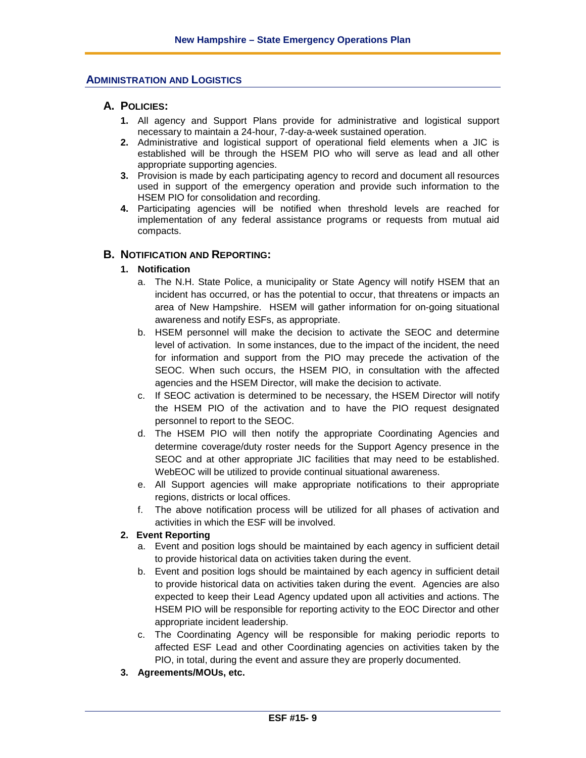#### **ADMINISTRATION AND LOGISTICS**

### **A. POLICIES:**

- **1.** All agency and Support Plans provide for administrative and logistical support necessary to maintain a 24-hour, 7-day-a-week sustained operation.
- **2.** Administrative and logistical support of operational field elements when a JIC is established will be through the HSEM PIO who will serve as lead and all other appropriate supporting agencies.
- **3.** Provision is made by each participating agency to record and document all resources used in support of the emergency operation and provide such information to the HSEM PIO for consolidation and recording.
- **4.** Participating agencies will be notified when threshold levels are reached for implementation of any federal assistance programs or requests from mutual aid compacts.

### **B. NOTIFICATION AND REPORTING:**

### **1. Notification**

- a. The N.H. State Police, a municipality or State Agency will notify HSEM that an incident has occurred, or has the potential to occur, that threatens or impacts an area of New Hampshire. HSEM will gather information for on-going situational awareness and notify ESFs, as appropriate.
- b. HSEM personnel will make the decision to activate the SEOC and determine level of activation. In some instances, due to the impact of the incident, the need for information and support from the PIO may precede the activation of the SEOC. When such occurs, the HSEM PIO, in consultation with the affected agencies and the HSEM Director, will make the decision to activate.
- c. If SEOC activation is determined to be necessary, the HSEM Director will notify the HSEM PIO of the activation and to have the PIO request designated personnel to report to the SEOC.
- d. The HSEM PIO will then notify the appropriate Coordinating Agencies and determine coverage/duty roster needs for the Support Agency presence in the SEOC and at other appropriate JIC facilities that may need to be established. WebEOC will be utilized to provide continual situational awareness.
- e. All Support agencies will make appropriate notifications to their appropriate regions, districts or local offices.
- f. The above notification process will be utilized for all phases of activation and activities in which the ESF will be involved.

#### **2. Event Reporting**

- a. Event and position logs should be maintained by each agency in sufficient detail to provide historical data on activities taken during the event.
- b. Event and position logs should be maintained by each agency in sufficient detail to provide historical data on activities taken during the event. Agencies are also expected to keep their Lead Agency updated upon all activities and actions. The HSEM PIO will be responsible for reporting activity to the EOC Director and other appropriate incident leadership.
- c. The Coordinating Agency will be responsible for making periodic reports to affected ESF Lead and other Coordinating agencies on activities taken by the PIO, in total, during the event and assure they are properly documented.
- **3. Agreements/MOUs, etc.**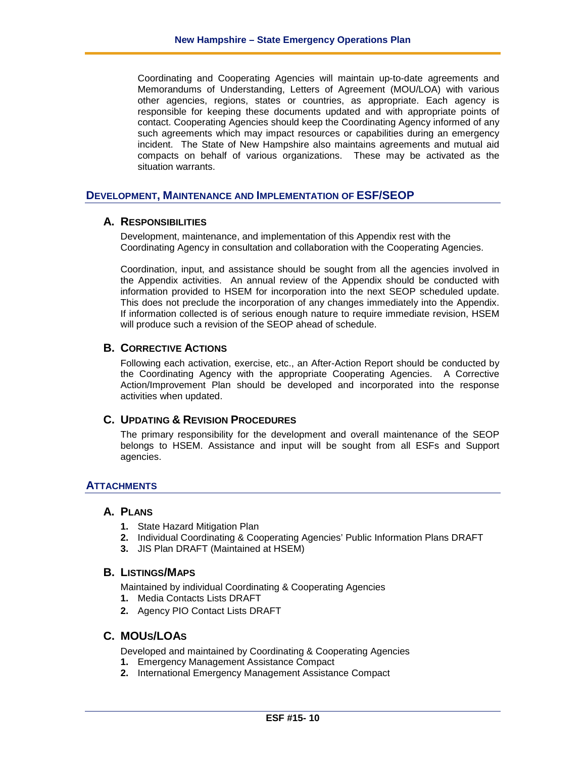Coordinating and Cooperating Agencies will maintain up-to-date agreements and Memorandums of Understanding, Letters of Agreement (MOU/LOA) with various other agencies, regions, states or countries, as appropriate. Each agency is responsible for keeping these documents updated and with appropriate points of contact. Cooperating Agencies should keep the Coordinating Agency informed of any such agreements which may impact resources or capabilities during an emergency incident. The State of New Hampshire also maintains agreements and mutual aid compacts on behalf of various organizations. These may be activated as the situation warrants.

### **DEVELOPMENT, MAINTENANCE AND IMPLEMENTATION OF ESF/SEOP**

### **A. RESPONSIBILITIES**

Development, maintenance, and implementation of this Appendix rest with the Coordinating Agency in consultation and collaboration with the Cooperating Agencies.

Coordination, input, and assistance should be sought from all the agencies involved in the Appendix activities. An annual review of the Appendix should be conducted with information provided to HSEM for incorporation into the next SEOP scheduled update. This does not preclude the incorporation of any changes immediately into the Appendix. If information collected is of serious enough nature to require immediate revision, HSEM will produce such a revision of the SEOP ahead of schedule.

### **B. CORRECTIVE ACTIONS**

Following each activation, exercise, etc., an After-Action Report should be conducted by the Coordinating Agency with the appropriate Cooperating Agencies. A Corrective Action/Improvement Plan should be developed and incorporated into the response activities when updated.

### **C. UPDATING & REVISION PROCEDURES**

The primary responsibility for the development and overall maintenance of the SEOP belongs to HSEM. Assistance and input will be sought from all ESFs and Support agencies.

### **ATTACHMENTS**

### **A. PLANS**

- **1.** State Hazard Mitigation Plan
- **2.** Individual Coordinating & Cooperating Agencies' Public Information Plans DRAFT
- **3.** JIS Plan DRAFT (Maintained at HSEM)

#### **B. LISTINGS/MAPS**

Maintained by individual Coordinating & Cooperating Agencies

- **1.** Media Contacts Lists DRAFT
- **2.** Agency PIO Contact Lists DRAFT

### **C. MOUS/LOAS**

Developed and maintained by Coordinating & Cooperating Agencies

- **1.** Emergency Management Assistance Compact
- **2.** International Emergency Management Assistance Compact